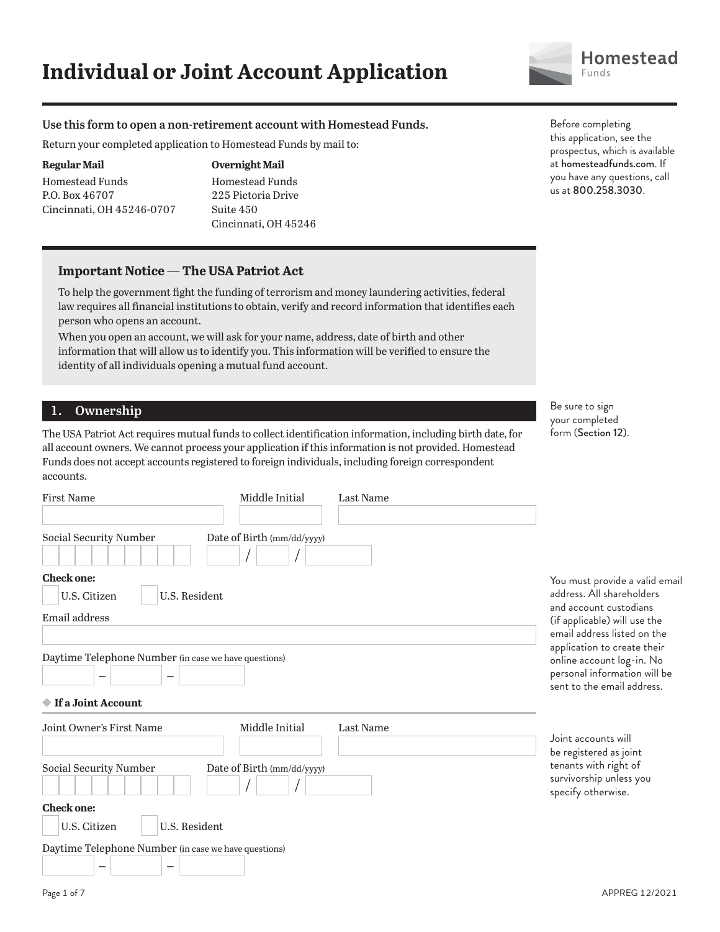

## **Use this form to open a non-retirement account with Homestead Funds.**

Return your completed application to Homestead Funds by mail to:

#### **Regular Mail**

Homestead Funds P.O. Box 46707 Cincinnati, OH 45246-0707

## **Overnight Mail**

Homestead Funds 225 Pictoria Drive Suite 450 Cincinnati, OH 45246

## **Important Notice — The USA Patriot Act**

To help the government fight the funding of terrorism and money laundering activities, federal law requires all financial institutions to obtain, verify and record information that identifies each person who opens an account.

When you open an account, we will ask for your name, address, date of birth and other information that will allow us to identify you. This information will be verified to ensure the identity of all individuals opening a mutual fund account.

# **1. Ownership**

The USA Patriot Act requires mutual funds to collect identification information, including birth date, for all account owners. We cannot process your application if this information is not provided. Homestead Funds does not accept accounts registered to foreign individuals, including foreign correspondent accounts.

| <b>First Name</b>                                                                                                                           | Middle Initial<br>Last Name |                                                                                                                                                      |  |
|---------------------------------------------------------------------------------------------------------------------------------------------|-----------------------------|------------------------------------------------------------------------------------------------------------------------------------------------------|--|
| Social Security Number                                                                                                                      | Date of Birth (mm/dd/yyyy)  |                                                                                                                                                      |  |
| <b>Check one:</b><br>U.S. Resident<br>U.S. Citizen<br><b>Email address</b>                                                                  |                             | You must provide a valid email<br>address. All shareholders<br>and account custodians<br>(if applicable) will use the<br>email address listed on the |  |
| Daytime Telephone Number (in case we have questions)<br>$\overline{\phantom{0}}$<br>—<br>◆ If a Joint Account                               |                             | application to create their<br>online account log-in. No<br>personal information will be<br>sent to the email address.                               |  |
| Joint Owner's First Name                                                                                                                    | Middle Initial<br>Last Name | Joint accounts will<br>be registered as joint                                                                                                        |  |
| Social Security Number                                                                                                                      | Date of Birth (mm/dd/yyyy)  | tenants with right of<br>survivorship unless you<br>specify otherwise.                                                                               |  |
| <b>Check one:</b><br>U.S. Resident<br>U.S. Citizen<br>Daytime Telephone Number (in case we have questions)<br>—<br>$\overline{\phantom{m}}$ |                             |                                                                                                                                                      |  |

Before completing this application, see the prospectus, which is available at homesteadfunds.com. If you have any questions, call us at 800.258.3030.

Be sure to sign your completed form (Section 12).

Page 1 of 7 APPREG 12/2021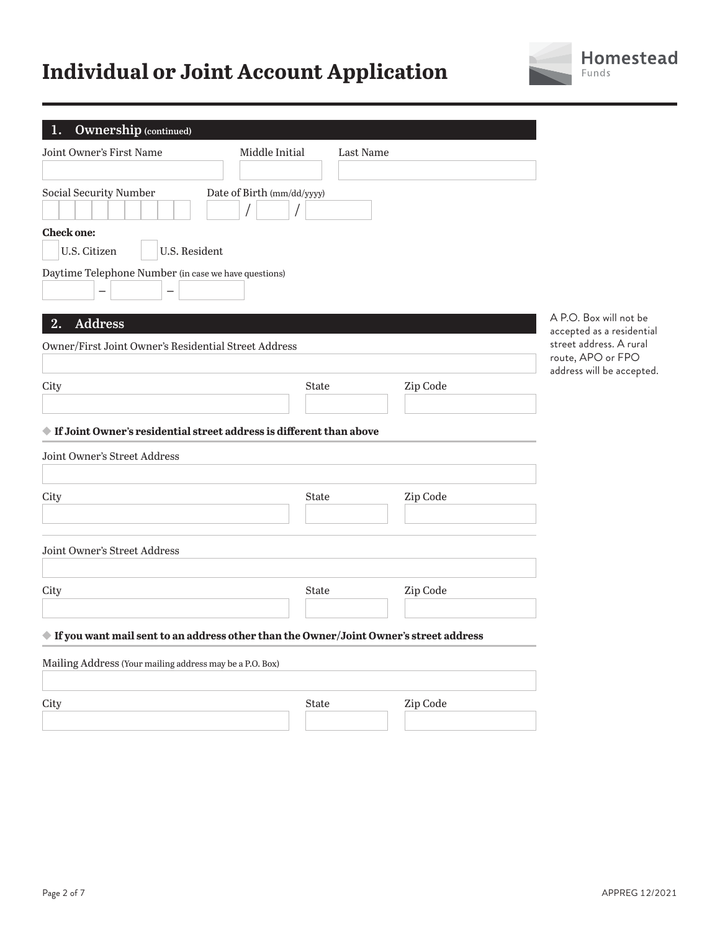# **Individual or Joint Account Application**



| <b>Ownership (continued)</b><br>1.                                                                    |                                                                                                                                                                                                                                                                                                                                                                                                                                                                                                                                                                                                                                                        |           |          |                                                     |
|-------------------------------------------------------------------------------------------------------|--------------------------------------------------------------------------------------------------------------------------------------------------------------------------------------------------------------------------------------------------------------------------------------------------------------------------------------------------------------------------------------------------------------------------------------------------------------------------------------------------------------------------------------------------------------------------------------------------------------------------------------------------------|-----------|----------|-----------------------------------------------------|
| Joint Owner's First Name<br>Middle Initial                                                            |                                                                                                                                                                                                                                                                                                                                                                                                                                                                                                                                                                                                                                                        | Last Name |          |                                                     |
|                                                                                                       |                                                                                                                                                                                                                                                                                                                                                                                                                                                                                                                                                                                                                                                        |           |          |                                                     |
| Social Security Number<br>Date of Birth (mm/dd/yyyy)                                                  |                                                                                                                                                                                                                                                                                                                                                                                                                                                                                                                                                                                                                                                        |           |          |                                                     |
| <b>Check one:</b>                                                                                     |                                                                                                                                                                                                                                                                                                                                                                                                                                                                                                                                                                                                                                                        |           |          |                                                     |
| U.S. Citizen<br>U.S. Resident                                                                         |                                                                                                                                                                                                                                                                                                                                                                                                                                                                                                                                                                                                                                                        |           |          |                                                     |
| Daytime Telephone Number (in case we have questions)                                                  |                                                                                                                                                                                                                                                                                                                                                                                                                                                                                                                                                                                                                                                        |           |          |                                                     |
| <b>Address</b><br>2.                                                                                  |                                                                                                                                                                                                                                                                                                                                                                                                                                                                                                                                                                                                                                                        |           |          | A P.O. Box will not be<br>accepted as a residential |
| Owner/First Joint Owner's Residential Street Address                                                  |                                                                                                                                                                                                                                                                                                                                                                                                                                                                                                                                                                                                                                                        |           |          | street address. A rural<br>route, APO or FPO        |
|                                                                                                       |                                                                                                                                                                                                                                                                                                                                                                                                                                                                                                                                                                                                                                                        |           |          | address will be accepted.                           |
| City                                                                                                  | State                                                                                                                                                                                                                                                                                                                                                                                                                                                                                                                                                                                                                                                  |           | Zip Code |                                                     |
|                                                                                                       |                                                                                                                                                                                                                                                                                                                                                                                                                                                                                                                                                                                                                                                        |           |          |                                                     |
| If Joint Owner's residential street address is different than above                                   |                                                                                                                                                                                                                                                                                                                                                                                                                                                                                                                                                                                                                                                        |           |          |                                                     |
| Joint Owner's Street Address                                                                          |                                                                                                                                                                                                                                                                                                                                                                                                                                                                                                                                                                                                                                                        |           |          |                                                     |
|                                                                                                       |                                                                                                                                                                                                                                                                                                                                                                                                                                                                                                                                                                                                                                                        |           |          |                                                     |
| City                                                                                                  | <b>State</b>                                                                                                                                                                                                                                                                                                                                                                                                                                                                                                                                                                                                                                           |           | Zip Code |                                                     |
|                                                                                                       |                                                                                                                                                                                                                                                                                                                                                                                                                                                                                                                                                                                                                                                        |           |          |                                                     |
| Joint Owner's Street Address                                                                          |                                                                                                                                                                                                                                                                                                                                                                                                                                                                                                                                                                                                                                                        |           |          |                                                     |
| City                                                                                                  | State                                                                                                                                                                                                                                                                                                                                                                                                                                                                                                                                                                                                                                                  |           | Zip Code |                                                     |
|                                                                                                       |                                                                                                                                                                                                                                                                                                                                                                                                                                                                                                                                                                                                                                                        |           |          |                                                     |
| $\blacklozenge$ If you want mail sent to an address other than the Owner/Joint Owner's street address |                                                                                                                                                                                                                                                                                                                                                                                                                                                                                                                                                                                                                                                        |           |          |                                                     |
| Mailing Address (Your mailing address may be a P.O. Box)                                              |                                                                                                                                                                                                                                                                                                                                                                                                                                                                                                                                                                                                                                                        |           |          |                                                     |
| City                                                                                                  | $\operatorname*{State}% \left( X\right) \equiv\operatorname*{State}% \left( X\right) \equiv\operatorname*{State}% \left( X\right) \equiv\operatorname*{State}\left( X\right) \equiv\operatorname*{State}% \left( X\right) \equiv\operatorname*{State}\left( X\right) \equiv\operatorname*{State}% \left( X\right) \equiv\operatorname*{State}\left( X\right) \equiv\operatorname*{State}% \left( X\right) \equiv\operatorname*{State}\left( X\right) \equiv\operatorname*{State}\left( X\right) \equiv\operatorname*{State}\left( X\right) \equiv\operatorname*{State}\left( X\right) \equiv\operatorname*{State}\left( X\right) \equiv\operatorname*$ |           | Zip Code |                                                     |
|                                                                                                       |                                                                                                                                                                                                                                                                                                                                                                                                                                                                                                                                                                                                                                                        |           |          |                                                     |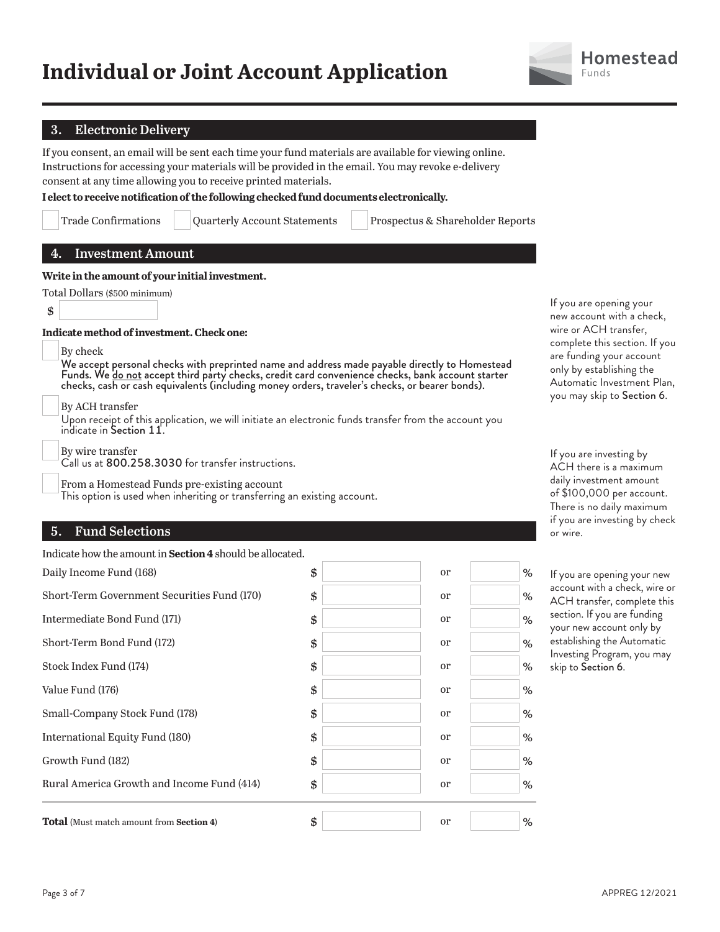

## **3. Electronic Delivery**

If you consent, an email will be sent each time your fund materials are available for viewing online. Instructions for accessing your materials will be provided in the email. You may revoke e-delivery consent at any time allowing you to receive printed materials.

**I elect to receive notification of the following checked fund documents electronically.**

| <b>Trade Confirmations</b> | Quarterly A |
|----------------------------|-------------|
|                            |             |

ccount Statements | Prospectus & Shareholder Reports

**Write in the amount of your initial investment.**

| Total Dollars (\$500 minimum) |
|-------------------------------|

**4. Investment Amount**

\$

**Indicate method of investment. Check one:**

By check

We accept personal checks with preprinted name and address made payable directly to Homestead Funds. We do not accept third party checks, credit card convenience checks, bank account starter checks, cash or cash equivalents (including money orders, traveler's checks, or bearer bonds).

By ACH transfer

Upon receipt of this application, we will initiate an electronic funds transfer from the account you indicate in Section 11.

By wire transfer

Call us at 800.258.3030 for transfer instructions.

From a Homestead Funds pre-existing account

This option is used when inheriting or transferring an existing account.

# **5. Fund Selections**

Indicate how the amount in **Section 4** should be allocated.

| <b>Total</b> (Must match amount from <b>Section 4)</b> | \$<br><sub>or</sub> | % |
|--------------------------------------------------------|---------------------|---|
| Rural America Growth and Income Fund (414)             | \$<br>or            | % |
| Growth Fund (182)                                      | \$<br>or            | % |
| International Equity Fund (180)                        | \$<br><sub>or</sub> | % |
| Small-Company Stock Fund (178)                         | \$<br>or            | % |
| Value Fund (176)                                       | \$<br><sub>or</sub> | % |
| Stock Index Fund (174)                                 | \$<br>or            | % |
| Short-Term Bond Fund (172)                             | \$<br>or            | % |
| Intermediate Bond Fund (171)                           | \$<br>or            | % |
| Short-Term Government Securities Fund (170)            | \$<br>or            | % |
| Daily Income Fund (168)                                | \$<br>or            | % |

If you are opening your new account with a check, wire or ACH transfer, complete this section. If you are funding your account only by establishing the Automatic Investment Plan, you may skip to Section 6.

If you are investing by ACH there is a maximum daily investment amount of \$100,000 per account. There is no daily maximum if you are investing by check or wire.

If you are opening your new account with a check, wire or ACH transfer, complete this section. If you are funding your new account only by establishing the Automatic Investing Program, you may skip to Section 6.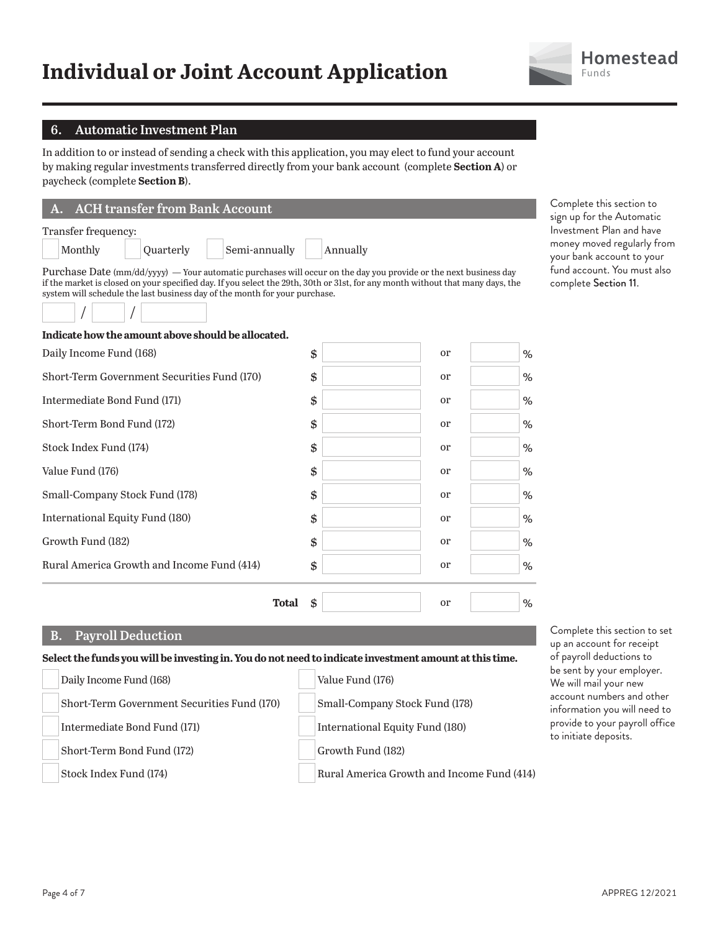# **Individual or Joint Account Application**



## **6. Automatic Investment Plan**

In addition to or instead of sending a check with this application, you may elect to fund your account by making regular investments transferred directly from your bank account (complete **Section A**) or paycheck (complete **Section B**).

| A. ACH transfer from Bank Account |           |               |          |  |
|-----------------------------------|-----------|---------------|----------|--|
| Transfer frequency:               |           |               |          |  |
| Monthly                           | Quarterly | Semi-annually | Annually |  |

Complete this section to sign up for the Automatic Investment Plan and have money moved regularly from your bank account to your fund account. You must also complete Section 11.

Complete this section to set up an account for receipt

Purchase Date (mm/dd/yyyy) — Your automatic purchases will occur on the day you provide or the next business day if the market is closed on your specified day. If you select the 29th, 30th or 31st, for any month without that many days, the system will schedule the last business day of the month for your purchase.



| Indicate how the amount above should be allocated. |                     |      |
|----------------------------------------------------|---------------------|------|
| Daily Income Fund (168)                            | \$<br><sub>or</sub> | $\%$ |
| Short-Term Government Securities Fund (170)        | \$<br><sub>or</sub> | %    |
| Intermediate Bond Fund (171)                       | \$<br><sub>or</sub> | %    |
| Short-Term Bond Fund (172)                         | \$<br><sub>or</sub> | %    |
| Stock Index Fund (174)                             | \$<br><sub>or</sub> | $\%$ |
| Value Fund (176)                                   | \$<br><sub>or</sub> | $\%$ |
| Small-Company Stock Fund (178)                     | \$<br><sub>or</sub> | $\%$ |
| International Equity Fund (180)                    | \$<br><sub>or</sub> | $\%$ |
| Growth Fund (182)                                  | \$<br>or            | $\%$ |
| Rural America Growth and Income Fund (414)         | \$<br><sub>or</sub> | %    |
| <b>Total</b>                                       | \$<br>or            | %    |

## **B. Payroll Deduction**

| Select the funds you will be investing in. You do not need to indicate investment amount at this time. |                                             |                                            | of payroll deductions to                                  |
|--------------------------------------------------------------------------------------------------------|---------------------------------------------|--------------------------------------------|-----------------------------------------------------------|
|                                                                                                        | Daily Income Fund (168)                     | Value Fund (176)                           | be sent by your employer.<br>We will mail your new        |
|                                                                                                        | Short-Term Government Securities Fund (170) | Small-Company Stock Fund (178)             | account numbers and other<br>information you will need to |
|                                                                                                        | Intermediate Bond Fund (171)                | International Equity Fund (180)            | provide to your payroll office<br>to initiate deposits.   |
|                                                                                                        | Short-Term Bond Fund (172)                  | Growth Fund (182)                          |                                                           |
|                                                                                                        | Stock Index Fund (174)                      | Rural America Growth and Income Fund (414) |                                                           |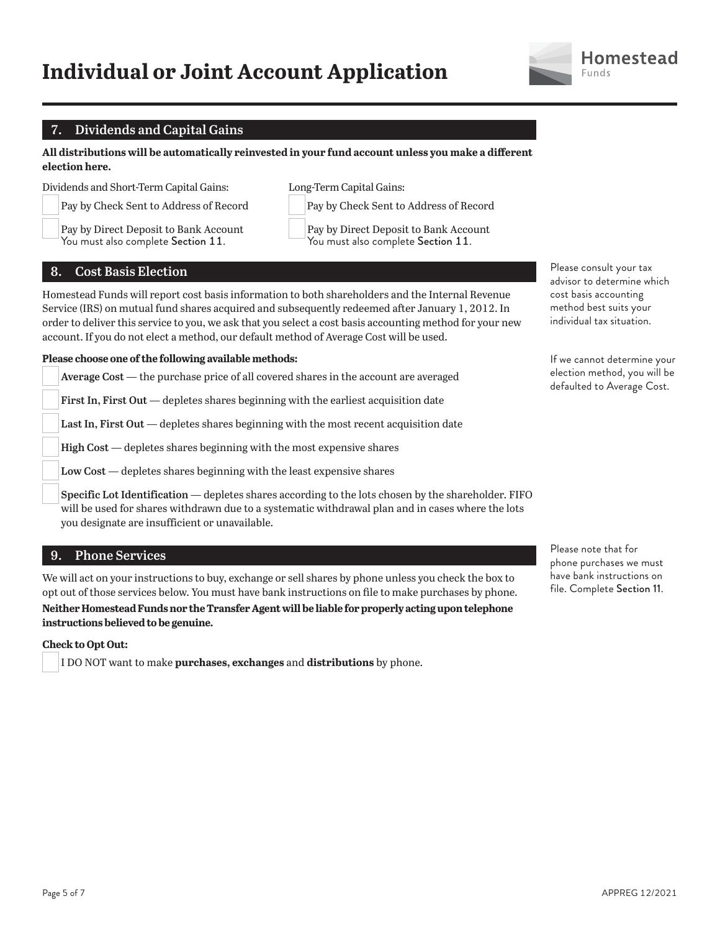

# **7. Dividends and Capital Gains**

**All distributions will be automatically reinvested in your fund account unless you make a different election here.**

Dividends and Short-Term Capital Gains:

 Pay by Check Sent to Address of Record Pay by Direct Deposit to Bank Account

You must also complete Section 11.

Pay by Check Sent to Address of Record Pay by Direct Deposit to Bank Account

Long-Term Capital Gains:

You must also complete Section 11.

# **8. Cost Basis Election**

Homestead Funds will report cost basis information to both shareholders and the Internal Revenue Service (IRS) on mutual fund shares acquired and subsequently redeemed after January 1, 2012. In order to deliver this service to you, we ask that you select a cost basis accounting method for your new account. If you do not elect a method, our default method of Average Cost will be used.

## **Please choose one of the following available methods:**

**Average Cost** — the purchase price of all covered shares in the account are averaged

**First In, First Out** — depletes shares beginning with the earliest acquisition date

**Last In, First Out** — depletes shares beginning with the most recent acquisition date

**High Cost** — depletes shares beginning with the most expensive shares

**Low Cost** — depletes shares beginning with the least expensive shares

**Specific Lot Identification** — depletes shares according to the lots chosen by the shareholder. FIFO will be used for shares withdrawn due to a systematic withdrawal plan and in cases where the lots you designate are insufficient or unavailable.

# **9. Phone Services**

We will act on your instructions to buy, exchange or sell shares by phone unless you check the box to opt out of those services below. You must have bank instructions on file to make purchases by phone.

## **Neither Homestead Funds nor the Transfer Agent will be liable for properly acting upon telephone instructions believed to be genuine.**

## **Check to Opt Out:**

I DO NOT want to make **purchases, exchanges** and **distributions** by phone.

Please consult your tax advisor to determine which cost basis accounting method best suits your individual tax situation.

If we cannot determine your election method, you will be defaulted to Average Cost.

Please note that for phone purchases we must have bank instructions on file. Complete Section 11.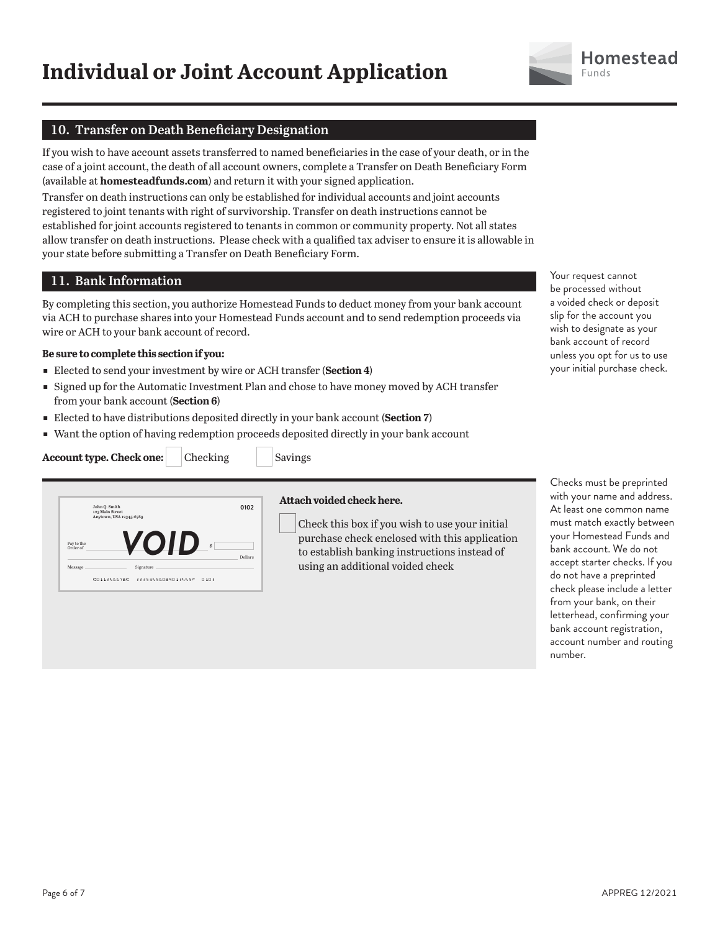

# **10. Transfer on Death Beneficiary Designation**

If you wish to have account assets transferred to named beneficiaries in the case of your death, or in the case of a joint account, the death of all account owners, complete a Transfer on Death Beneficiary Form (available at **homesteadfunds.com**) and return it with your signed application.

Transfer on death instructions can only be established for individual accounts and joint accounts registered to joint tenants with right of survivorship. Transfer on death instructions cannot be established for joint accounts registered to tenants in common or community property. Not all states allow transfer on death instructions. Please check with a qualified tax adviser to ensure it is allowable in your state before submitting a Transfer on Death Beneficiary Form.

# **11. Bank Information**

By completing this section, you authorize Homestead Funds to deduct money from your bank account via ACH to purchase shares into your Homestead Funds account and to send redemption proceeds via wire or ACH to your bank account of record.

## **Be sure to complete this section if you:**

- ɕ Elected to send your investment by wire or ACH transfer (**Section 4**)
- **Signed up for the Automatic Investment Plan and chose to have money moved by ACH transfer** from your bank account (**Section 6**)
- **Elected to have distributions deposited directly in your bank account (Section 7)**
- Want the option of having redemption proceeds deposited directly in your bank account





## **Attach voided check here.**

Check this box if you wish to use your initial purchase check enclosed with this application to establish banking instructions instead of using an additional voided check

Your request cannot be processed without a voided check or deposit slip for the account you wish to designate as your bank account of record unless you opt for us to use your initial purchase check.

Checks must be preprinted with your name and address. At least one common name must match exactly between your Homestead Funds and bank account. We do not accept starter checks. If you do not have a preprinted check please include a letter from your bank, on their letterhead, confirming your bank account registration, account number and routing number.